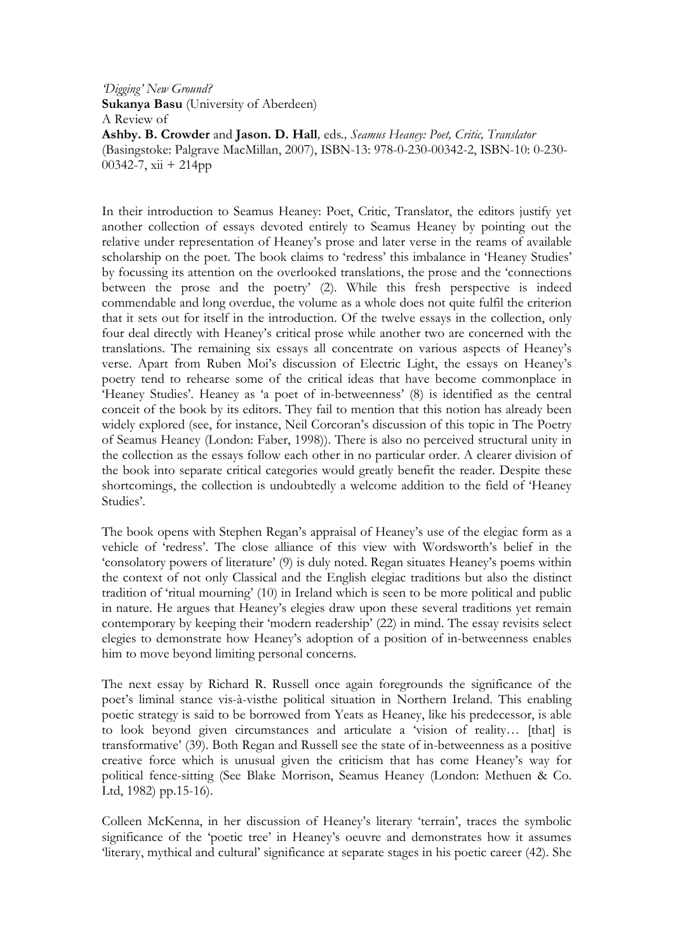'Digging' New Ground? Sukanya Basu (University of Aberdeen) A Review of Ashby. B. Crowder and Jason. D. Hall, eds., Seamus Heaney: Poet, Critic, Translator (Basingstoke: Palgrave MacMillan, 2007), ISBN-13: 978-0-230-00342-2, ISBN-10: 0-230- 00342-7, xii + 214pp

In their introduction to Seamus Heaney: Poet, Critic, Translator, the editors justify yet another collection of essays devoted entirely to Seamus Heaney by pointing out the relative under representation of Heaney's prose and later verse in the reams of available scholarship on the poet. The book claims to 'redress' this imbalance in 'Heaney Studies' by focussing its attention on the overlooked translations, the prose and the 'connections between the prose and the poetry' (2). While this fresh perspective is indeed commendable and long overdue, the volume as a whole does not quite fulfil the criterion that it sets out for itself in the introduction. Of the twelve essays in the collection, only four deal directly with Heaney's critical prose while another two are concerned with the translations. The remaining six essays all concentrate on various aspects of Heaney's verse. Apart from Ruben Moi's discussion of Electric Light, the essays on Heaney's poetry tend to rehearse some of the critical ideas that have become commonplace in 'Heaney Studies'. Heaney as 'a poet of in-betweenness' (8) is identified as the central conceit of the book by its editors. They fail to mention that this notion has already been widely explored (see, for instance, Neil Corcoran's discussion of this topic in The Poetry of Seamus Heaney (London: Faber, 1998)). There is also no perceived structural unity in the collection as the essays follow each other in no particular order. A clearer division of the book into separate critical categories would greatly benefit the reader. Despite these shortcomings, the collection is undoubtedly a welcome addition to the field of 'Heaney Studies'.

The book opens with Stephen Regan's appraisal of Heaney's use of the elegiac form as a vehicle of 'redress'. The close alliance of this view with Wordsworth's belief in the 'consolatory powers of literature' (9) is duly noted. Regan situates Heaney's poems within the context of not only Classical and the English elegiac traditions but also the distinct tradition of 'ritual mourning' (10) in Ireland which is seen to be more political and public in nature. He argues that Heaney's elegies draw upon these several traditions yet remain contemporary by keeping their 'modern readership' (22) in mind. The essay revisits select elegies to demonstrate how Heaney's adoption of a position of in-betweenness enables him to move beyond limiting personal concerns.

The next essay by Richard R. Russell once again foregrounds the significance of the poet's liminal stance vis-à-visthe political situation in Northern Ireland. This enabling poetic strategy is said to be borrowed from Yeats as Heaney, like his predecessor, is able to look beyond given circumstances and articulate a 'vision of reality… [that] is transformative' (39). Both Regan and Russell see the state of in-betweenness as a positive creative force which is unusual given the criticism that has come Heaney's way for political fence-sitting (See Blake Morrison, Seamus Heaney (London: Methuen & Co. Ltd, 1982) pp.15-16).

Colleen McKenna, in her discussion of Heaney's literary 'terrain', traces the symbolic significance of the 'poetic tree' in Heaney's oeuvre and demonstrates how it assumes 'literary, mythical and cultural' significance at separate stages in his poetic career (42). She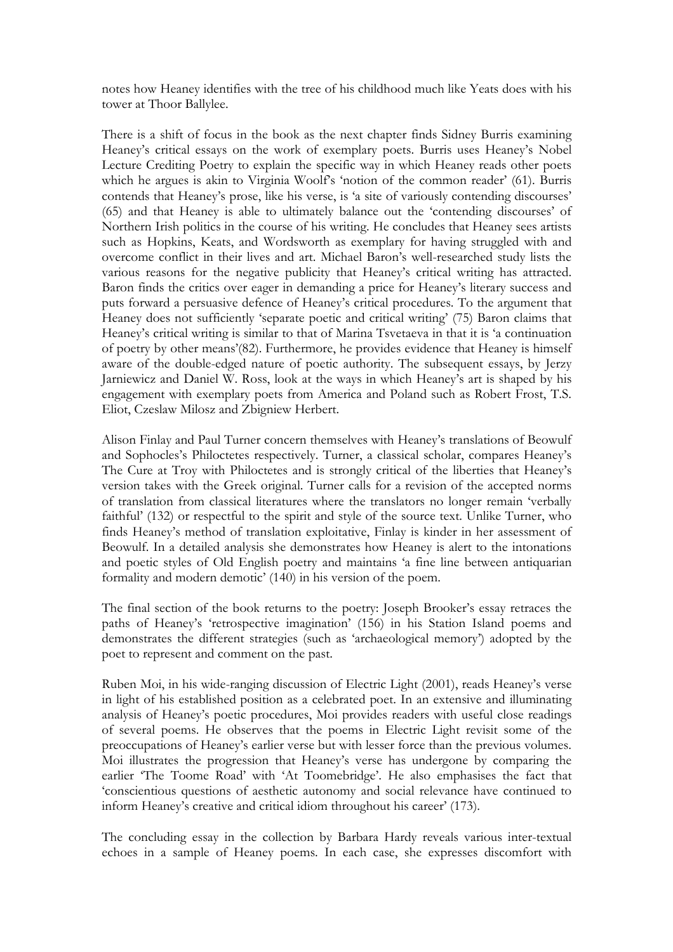notes how Heaney identifies with the tree of his childhood much like Yeats does with his tower at Thoor Ballylee.

There is a shift of focus in the book as the next chapter finds Sidney Burris examining Heaney's critical essays on the work of exemplary poets. Burris uses Heaney's Nobel Lecture Crediting Poetry to explain the specific way in which Heaney reads other poets which he argues is akin to Virginia Woolf's 'notion of the common reader' (61). Burris contends that Heaney's prose, like his verse, is 'a site of variously contending discourses' (65) and that Heaney is able to ultimately balance out the 'contending discourses' of Northern Irish politics in the course of his writing. He concludes that Heaney sees artists such as Hopkins, Keats, and Wordsworth as exemplary for having struggled with and overcome conflict in their lives and art. Michael Baron's well-researched study lists the various reasons for the negative publicity that Heaney's critical writing has attracted. Baron finds the critics over eager in demanding a price for Heaney's literary success and puts forward a persuasive defence of Heaney's critical procedures. To the argument that Heaney does not sufficiently 'separate poetic and critical writing' (75) Baron claims that Heaney's critical writing is similar to that of Marina Tsvetaeva in that it is 'a continuation of poetry by other means'(82). Furthermore, he provides evidence that Heaney is himself aware of the double-edged nature of poetic authority. The subsequent essays, by Jerzy Jarniewicz and Daniel W. Ross, look at the ways in which Heaney's art is shaped by his engagement with exemplary poets from America and Poland such as Robert Frost, T.S. Eliot, Czeslaw Milosz and Zbigniew Herbert.

Alison Finlay and Paul Turner concern themselves with Heaney's translations of Beowulf and Sophocles's Philoctetes respectively. Turner, a classical scholar, compares Heaney's The Cure at Troy with Philoctetes and is strongly critical of the liberties that Heaney's version takes with the Greek original. Turner calls for a revision of the accepted norms of translation from classical literatures where the translators no longer remain 'verbally faithful' (132) or respectful to the spirit and style of the source text. Unlike Turner, who finds Heaney's method of translation exploitative, Finlay is kinder in her assessment of Beowulf. In a detailed analysis she demonstrates how Heaney is alert to the intonations and poetic styles of Old English poetry and maintains 'a fine line between antiquarian formality and modern demotic' (140) in his version of the poem.

The final section of the book returns to the poetry: Joseph Brooker's essay retraces the paths of Heaney's 'retrospective imagination' (156) in his Station Island poems and demonstrates the different strategies (such as 'archaeological memory') adopted by the poet to represent and comment on the past.

Ruben Moi, in his wide-ranging discussion of Electric Light (2001), reads Heaney's verse in light of his established position as a celebrated poet. In an extensive and illuminating analysis of Heaney's poetic procedures, Moi provides readers with useful close readings of several poems. He observes that the poems in Electric Light revisit some of the preoccupations of Heaney's earlier verse but with lesser force than the previous volumes. Moi illustrates the progression that Heaney's verse has undergone by comparing the earlier 'The Toome Road' with 'At Toomebridge'. He also emphasises the fact that 'conscientious questions of aesthetic autonomy and social relevance have continued to inform Heaney's creative and critical idiom throughout his career' (173).

The concluding essay in the collection by Barbara Hardy reveals various inter-textual echoes in a sample of Heaney poems. In each case, she expresses discomfort with